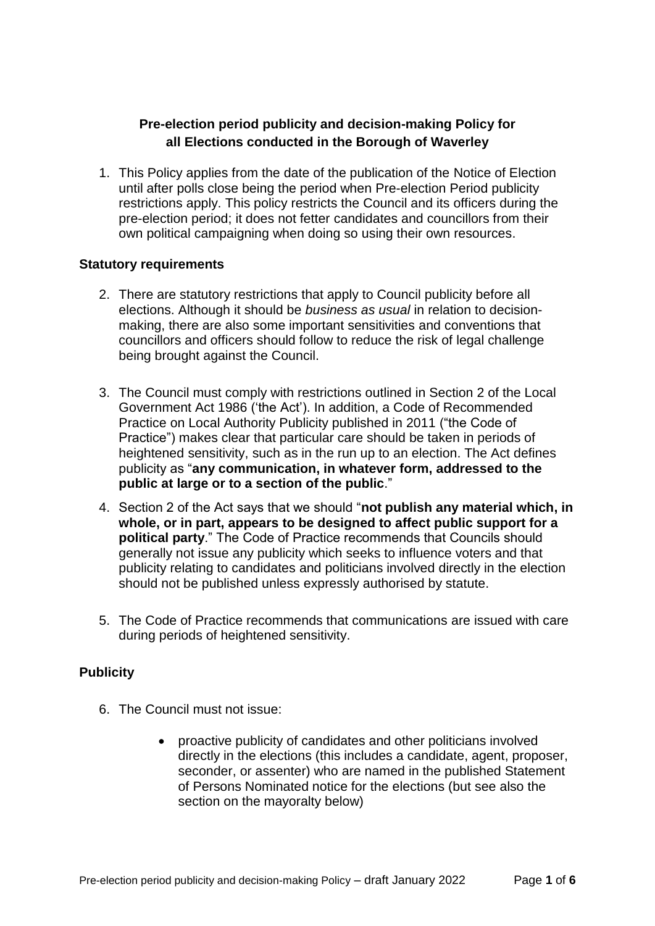# **Pre-election period publicity and decision-making Policy for all Elections conducted in the Borough of Waverley**

1. This Policy applies from the date of the publication of the Notice of Election until after polls close being the period when Pre-election Period publicity restrictions apply. This policy restricts the Council and its officers during the pre-election period; it does not fetter candidates and councillors from their own political campaigning when doing so using their own resources.

### **Statutory requirements**

- 2. There are statutory restrictions that apply to Council publicity before all elections. Although it should be *business as usual* in relation to decisionmaking, there are also some important sensitivities and conventions that councillors and officers should follow to reduce the risk of legal challenge being brought against the Council.
- 3. The Council must comply with restrictions outlined in Section 2 of the Local Government Act 1986 ('the Act'). In addition, a Code of Recommended Practice on Local Authority Publicity published in 2011 ("the Code of Practice") makes clear that particular care should be taken in periods of heightened sensitivity, such as in the run up to an election. The Act defines publicity as "**any communication, in whatever form, addressed to the public at large or to a section of the public**."
- 4. Section 2 of the Act says that we should "**not publish any material which, in whole, or in part, appears to be designed to affect public support for a political party**." The Code of Practice recommends that Councils should generally not issue any publicity which seeks to influence voters and that publicity relating to candidates and politicians involved directly in the election should not be published unless expressly authorised by statute.
- 5. The Code of Practice recommends that communications are issued with care during periods of heightened sensitivity.

### **Publicity**

- 6. The Council must not issue:
	- proactive publicity of candidates and other politicians involved directly in the elections (this includes a candidate, agent, proposer, seconder, or assenter) who are named in the published Statement of Persons Nominated notice for the elections (but see also the section on the mayoralty below)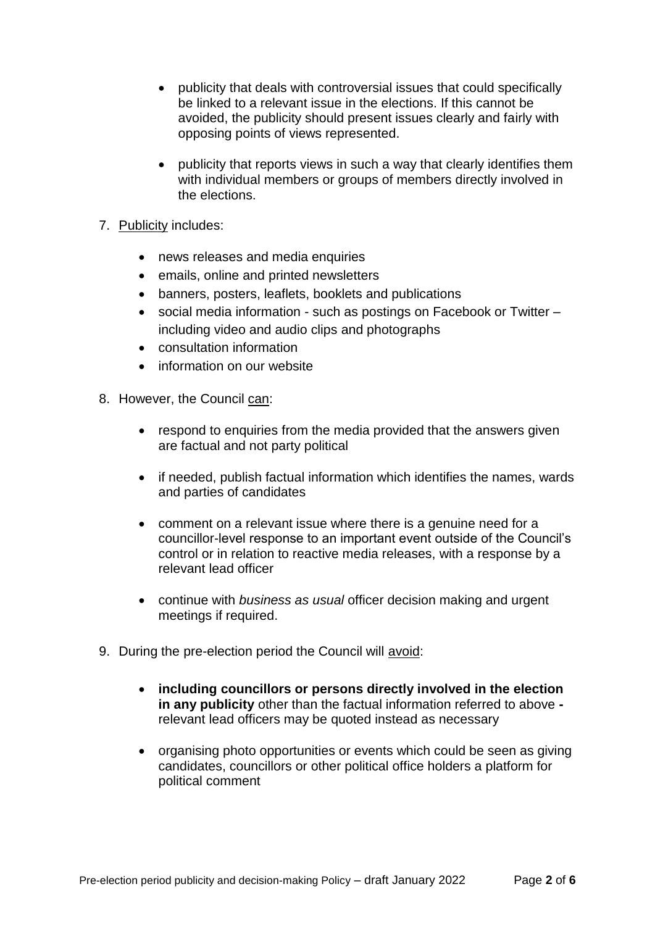- publicity that deals with controversial issues that could specifically be linked to a relevant issue in the elections. If this cannot be avoided, the publicity should present issues clearly and fairly with opposing points of views represented.
- publicity that reports views in such a way that clearly identifies them with individual members or groups of members directly involved in the elections.
- 7. Publicity includes:
	- news releases and media enquiries
	- emails, online and printed newsletters
	- banners, posters, leaflets, booklets and publications
	- social media information such as postings on Facebook or Twitter including video and audio clips and photographs
	- consultation information
	- information on our website
- 8. However, the Council can:
	- respond to enquiries from the media provided that the answers given are factual and not party political
	- if needed, publish factual information which identifies the names, wards and parties of candidates
	- comment on a relevant issue where there is a genuine need for a councillor-level response to an important event outside of the Council's control or in relation to reactive media releases, with a response by a relevant lead officer
	- continue with *business as usual* officer decision making and urgent meetings if required.
- 9. During the pre-election period the Council will avoid:
	- **including councillors or persons directly involved in the election in any publicity** other than the factual information referred to above  relevant lead officers may be quoted instead as necessary
	- organising photo opportunities or events which could be seen as giving candidates, councillors or other political office holders a platform for political comment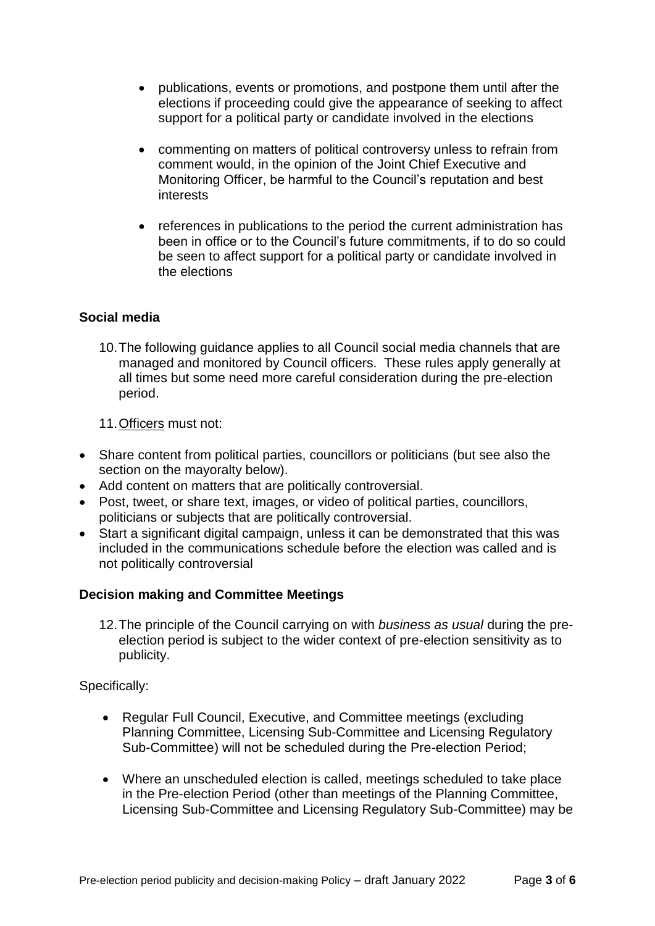- publications, events or promotions, and postpone them until after the elections if proceeding could give the appearance of seeking to affect support for a political party or candidate involved in the elections
- commenting on matters of political controversy unless to refrain from comment would, in the opinion of the Joint Chief Executive and Monitoring Officer, be harmful to the Council's reputation and best interests
- references in publications to the period the current administration has been in office or to the Council's future commitments, if to do so could be seen to affect support for a political party or candidate involved in the elections

## **Social media**

10.The following guidance applies to all Council social media channels that are managed and monitored by Council officers. These rules apply generally at all times but some need more careful consideration during the pre-election period.

11.Officers must not:

- Share content from political parties, councillors or politicians (but see also the section on the mayoralty below).
- Add content on matters that are politically controversial.
- Post, tweet, or share text, images, or video of political parties, councillors, politicians or subjects that are politically controversial.
- Start a significant digital campaign, unless it can be demonstrated that this was included in the communications schedule before the election was called and is not politically controversial

### **Decision making and Committee Meetings**

12.The principle of the Council carrying on with *business as usual* during the preelection period is subject to the wider context of pre-election sensitivity as to publicity.

Specifically:

- Regular Full Council, Executive, and Committee meetings (excluding Planning Committee, Licensing Sub-Committee and Licensing Regulatory Sub-Committee) will not be scheduled during the Pre-election Period;
- Where an unscheduled election is called, meetings scheduled to take place in the Pre-election Period (other than meetings of the Planning Committee, Licensing Sub-Committee and Licensing Regulatory Sub-Committee) may be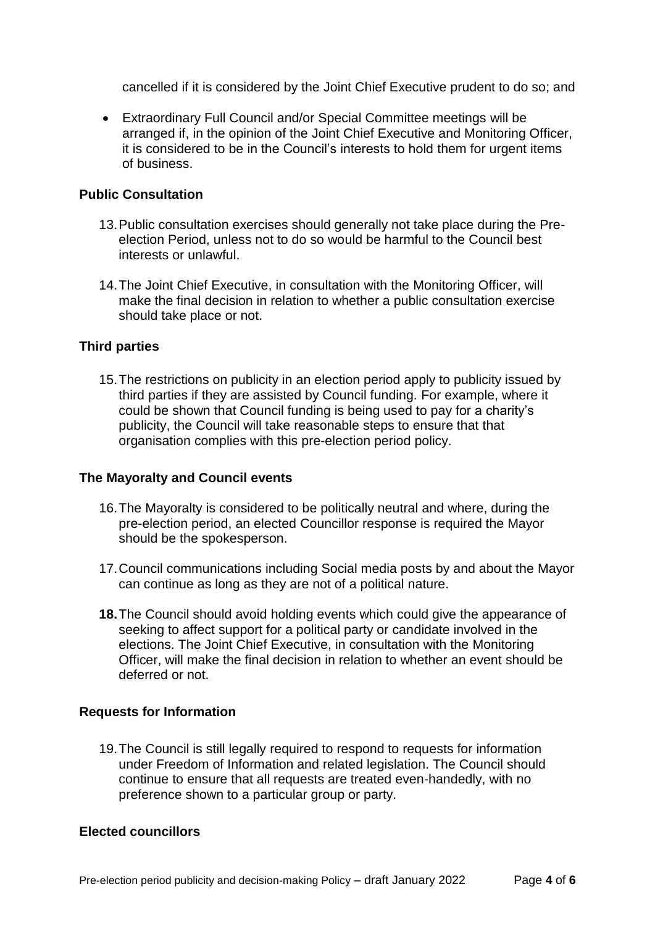cancelled if it is considered by the Joint Chief Executive prudent to do so; and

 Extraordinary Full Council and/or Special Committee meetings will be arranged if, in the opinion of the Joint Chief Executive and Monitoring Officer, it is considered to be in the Council's interests to hold them for urgent items of business.

### **Public Consultation**

- 13.Public consultation exercises should generally not take place during the Preelection Period, unless not to do so would be harmful to the Council best interests or unlawful.
- 14.The Joint Chief Executive, in consultation with the Monitoring Officer, will make the final decision in relation to whether a public consultation exercise should take place or not.

### **Third parties**

15.The restrictions on publicity in an election period apply to publicity issued by third parties if they are assisted by Council funding. For example, where it could be shown that Council funding is being used to pay for a charity's publicity, the Council will take reasonable steps to ensure that that organisation complies with this pre-election period policy.

#### **The Mayoralty and Council events**

- 16.The Mayoralty is considered to be politically neutral and where, during the pre-election period, an elected Councillor response is required the Mayor should be the spokesperson.
- 17.Council communications including Social media posts by and about the Mayor can continue as long as they are not of a political nature.
- **18.**The Council should avoid holding events which could give the appearance of seeking to affect support for a political party or candidate involved in the elections. The Joint Chief Executive, in consultation with the Monitoring Officer, will make the final decision in relation to whether an event should be deferred or not.

#### **Requests for Information**

19.The Council is still legally required to respond to requests for information under Freedom of Information and related legislation. The Council should continue to ensure that all requests are treated even-handedly, with no preference shown to a particular group or party.

#### **Elected councillors**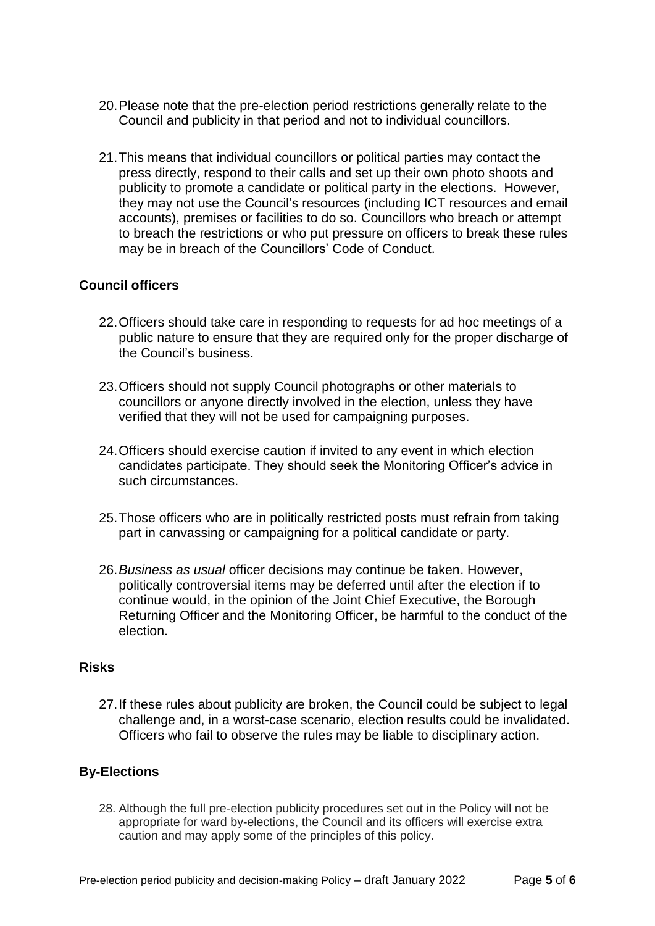- 20.Please note that the pre-election period restrictions generally relate to the Council and publicity in that period and not to individual councillors.
- 21.This means that individual councillors or political parties may contact the press directly, respond to their calls and set up their own photo shoots and publicity to promote a candidate or political party in the elections. However, they may not use the Council's resources (including ICT resources and email accounts), premises or facilities to do so. Councillors who breach or attempt to breach the restrictions or who put pressure on officers to break these rules may be in breach of the Councillors' Code of Conduct.

### **Council officers**

- 22.Officers should take care in responding to requests for ad hoc meetings of a public nature to ensure that they are required only for the proper discharge of the Council's business.
- 23.Officers should not supply Council photographs or other materials to councillors or anyone directly involved in the election, unless they have verified that they will not be used for campaigning purposes.
- 24.Officers should exercise caution if invited to any event in which election candidates participate. They should seek the Monitoring Officer's advice in such circumstances.
- 25.Those officers who are in politically restricted posts must refrain from taking part in canvassing or campaigning for a political candidate or party.
- 26.*Business as usual* officer decisions may continue be taken. However, politically controversial items may be deferred until after the election if to continue would, in the opinion of the Joint Chief Executive, the Borough Returning Officer and the Monitoring Officer, be harmful to the conduct of the election.

#### **Risks**

27.If these rules about publicity are broken, the Council could be subject to legal challenge and, in a worst-case scenario, election results could be invalidated. Officers who fail to observe the rules may be liable to disciplinary action.

### **By-Elections**

28. Although the full pre-election publicity procedures set out in the Policy will not be appropriate for ward by-elections, the Council and its officers will exercise extra caution and may apply some of the principles of this policy.